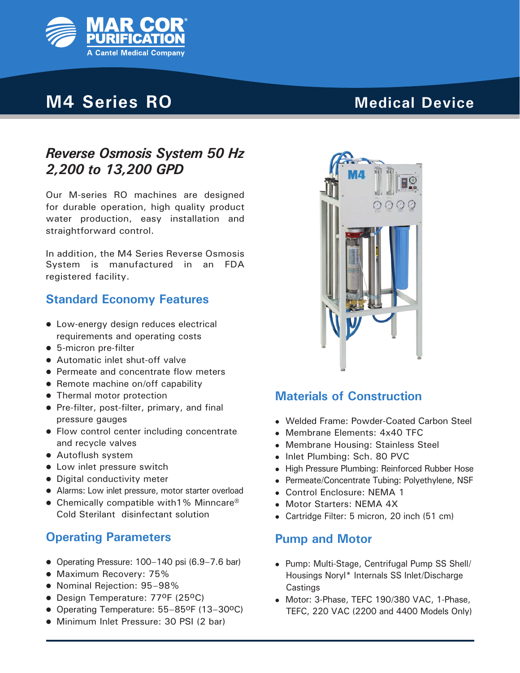

# **M4 Series RO**

# **Medical Device**

## *Reverse Osmosis System 50 Hz 2,200 to 13,200 GPD*

Our M-series RO machines are designed for durable operation, high quality product water production, easy installation and straightforward control.

In addition, the M4 Series Reverse Osmosis System is manufactured in an FDA registered facility.

### **Standard Economy Features**

- Low-energy design reduces electrical requirements and operating costs
- 5-micron pre-filter
- Automatic inlet shut-off valve
- Permeate and concentrate flow meters
- $\bullet$  Remote machine on/off capability
- Thermal motor protection
- Pre-filter, post-filter, primary, and final pressure gauges
- Flow control center including concentrate and recycle valves
- Autoflush system
- Low inlet pressure switch
- Digital conductivity meter
- Alarms: Low inlet pressure, motor starter overload
- Chemically compatible with1% Minncare<sup>®</sup> Cold Sterilant disinfectant solution

### **Operating Parameters**

- Operating Pressure:  $100-140$  psi  $(6.9-7.6$  bar)
- Maximum Recovery: 75%
- Nominal Rejection: 95-98%
- Design Temperature: 77ºF (25ºC)
- Operating Temperature: 55–85<sup>o</sup>F (13–30<sup>o</sup>C)
- Minimum Inlet Pressure: 30 PSI (2 bar)



### **Materials of Construction**

- Welded Frame: Powder-Coated Carbon Steel
- Membrane Elements: 4x40 TFC
- Membrane Housing: Stainless Steel
- Inlet Plumbing: Sch. 80 PVC
- High Pressure Plumbing: Reinforced Rubber Hose
- Permeate/Concentrate Tubing: Polyethylene, NSF
- Control Enclosure: NEMA 1
- Motor Starters: NEMA 4X
- Cartridge Filter: 5 micron, 20 inch (51 cm)

#### **Pump and Motor**

- Pump: Multi-Stage, Centrifugal Pump SS Shell/ Housings Noryl\* Internals SS Inlet/Discharge **Castings**
- Motor: 3-Phase, TEFC 190/380 VAC, 1-Phase, TEFC, 220 VAC (2200 and 4400 Models Only)